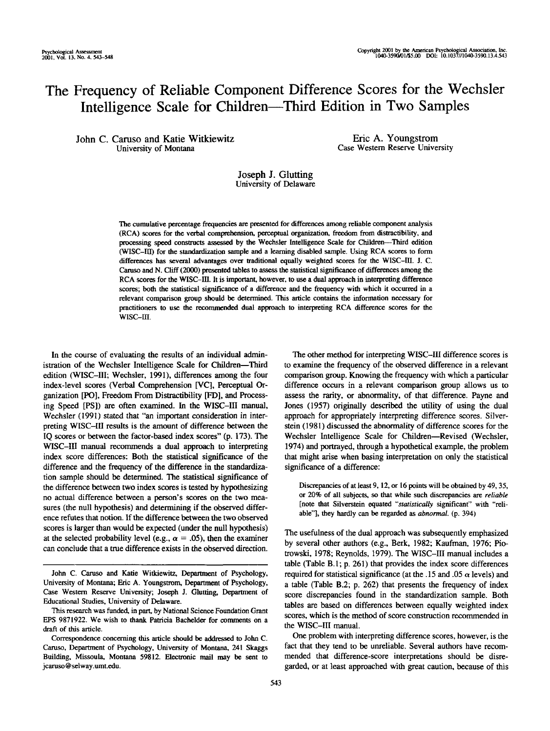# The Frequency of Reliable Component Difference Scores for the Wechsler Intelligence Scale for Children—Third Edition in Two Samples

John C. Caruso and Katie Witkiewitz University of Montana

Eric A. Youngstrom Case Western Reserve University

# Joseph J. Glutting University of Delaware

The cumulative percentage frequencies are presented for differences among reliable component analysis (RCA) scores for the verbal comprehension, perceptual organization, freedom from distractibility, and processing speed constructs assessed by the Wechsler Intelligence Scale for Children—Third edition (WISC-III) for the standardization sample and a learning disabled sample. Using RCA scores to form differences has several advantages over traditional equally weighted scores for the WISC-HI. J. C. Caruso and N. Cliff (2000) presented tables to assess the statistical significance of differences among the RCA scores for the WISC-III. It is important, however, to use a dual approach in interpreting difference scores; both the statistical significance of a difference and the frequency with which it occurred in a relevant comparison group should be determined. This article contains the information necessary for practitioners to use the recommended dual approach to interpreting RCA difference scores for the wisc-m.

In the course of evaluating the results of an individual administration of the Wechsler Intelligence Scale for Children—Third edition (WISC-III; Wechsler, 1991), differences among the four index-level scores (Verbal Comprehension [VC], Perceptual Organization [PO], Freedom From Distractibility [FD], and Processing Speed [PS]) are often examined. In the WISC-III manual, Wechsler (1991) stated that "an important consideration in interpreting WISC-III results is the amount of difference between the IQ scores or between the factor-based index scores" (p. 173). The WISC-III manual recommends a dual approach to interpreting index score differences: Both the statistical significance of the difference and the frequency of the difference in the standardization sample should be determined. The statistical significance of the difference between two index scores is tested by hypothesizing no actual difference between a person's scores on the two measures (the null hypothesis) and determining if the observed difference refutes that notion. If the difference between the two observed scores is larger than would be expected (under the null hypothesis) at the selected probability level (e.g.,  $\alpha = .05$ ), then the examiner can conclude that a true difference exists in the observed direction.

The other method for interpreting WISC-III difference scores is to examine the frequency of the observed difference in a relevant comparison group. Knowing the frequency with which a particular difference occurs in a relevant comparison group allows us to assess the rarity, or abnormality, of that difference. Payne and Jones (1957) originally described the utility of using the dual approach for appropriately interpreting difference scores. Silverstein (1981) discussed the abnormality of difference scores for the Wechsler Intelligence Scale for Children—Revised (Wechsler, 1974) and portrayed, through a hypothetical example, the problem that might arise when basing interpretation on only the statistical significance of a difference:

Discrepancies of at least 9, 12, or 16 points will be obtained by 49, 35, or 20% of all subjects, so that while such discrepancies are *reliable* [note that Silverstein equated *"statistically* significant" with "reliable"], they hardly can be regarded as *abnormal, (p.* 394)

The usefulness of the dual approach was subsequently emphasized by several other authors (e.g., Berk, 1982; Kaufman, 1976; Piotrowski, 1978; Reynolds, 1979). The WISC-III manual includes a table (Table B.I; p. 261) that provides the index score differences required for statistical significance (at the .15 and .05  $\alpha$  levels) and a table (Table B.2; p. 262) that presents the frequency of index score discrepancies found in the standardization sample. Both tables are based on differences between equally weighted index scores, which is the method of score construction recommended in the WISC-III manual.

One problem with interpreting difference scores, however, is the fact that they tend to be unreliable. Several authors have recommended that difference-score interpretations should be disregarded, or at least approached with great caution, because of this

John C. Caruso and Katie Witkiewitz, Department of Psychology, University of Montana; Eric A. Youngstrom, Department of Psychology, Case Western Reserve University; Joseph J. Glutting, Department of Educational Studies, University of Delaware.

This research was funded, in part, by National Science Foundation Grant EPS 9871922. We wish to thank Patricia Bachelder for comments on a draft of this article.

Correspondence concerning this article should be addressed to John C. Caruso, Department of Psychology, University of Montana, 241 Skaggs Building, Missoula, Montana 59812. Electronic mail may be sent to jcaruso@selway.umt.edu.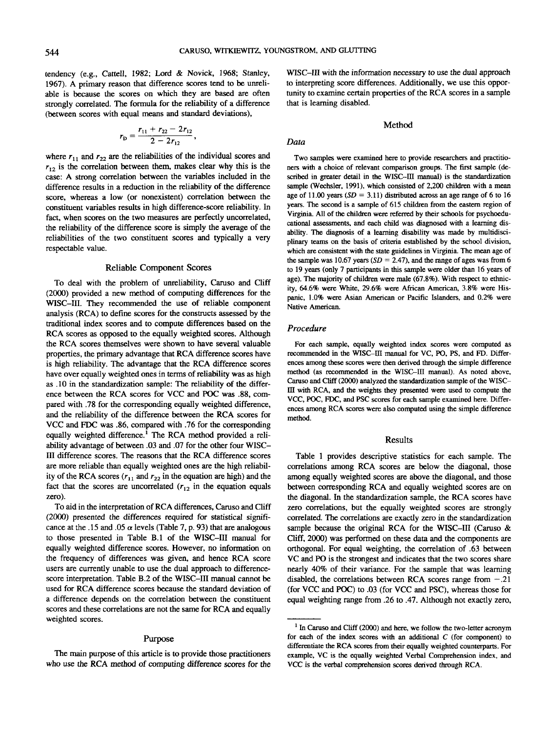tendency (e.g., Cattell, 1982; Lord & Novick, 1968; Stanley, 1967). A primary reason that difference scores tend to be unreliable is because the scores on which they are based are often strongly correlated. The formula for the reliability of a difference (between scores with equal means and standard deviations),

$$
r_{\rm p}=\frac{r_{11}+r_{22}-2r_{12}}{2-2r_{12}},
$$

where  $r_{11}$  and  $r_{22}$  are the reliabilities of the individual scores and  $r_{12}$  is the correlation between them, makes clear why this is the case: A strong correlation between the variables included in the difference results in a reduction in the reliability of the difference score, whereas a low (or nonexistent) correlation between the constituent variables results in high difference-score reliability. In fact, when scores on the two measures are perfectly uncorrelated, the reliability of the difference score is simply the average of the reliabilities of the two constituent scores and typically a very respectable value.

#### Reliable Component Scores

To deal with the problem of unreliability, Caruso and Cliff (2000) provided a new method of computing differences for the WISC-III. They recommended the use of reliable component analysis (RCA) to define scores for the constructs assessed by the traditional index scores and to compute differences based on the RCA scores as opposed to the equally weighted scores. Although the RCA scores themselves were shown to have several valuable properties, the primary advantage that RCA difference scores have is high reliability. The advantage that the RCA difference scores have over equally weighted ones in terms of reliability was as high as .10 in the standardization sample: The reliability of the difference between the RCA scores for VCC and POC was .88, compared with .78 for the corresponding equally weighted difference, and the reliability of the difference between the RCA scores for VCC and FDC was .86, compared with .76 for the corresponding equally weighted difference.<sup>1</sup> The RCA method provided a reliability advantage of between .03 and .07 for the other four WISC-III difference scores. The reasons that the RCA difference scores are more reliable than equally weighted ones are the high reliability of the RCA scores  $(r_{11}$  and  $r_{22}$  in the equation are high) and the fact that the scores are uncorrelated  $(r_{12})$  in the equation equals zero).

To aid in the interpretation of RCA differences, Caruso and Cliff (2000) presented the differences required for statistical significance at the .15 and .05  $\alpha$  levels (Table 7, p. 93) that are analogous to those presented in Table B.I of the WISC-III manual for equally weighted difference scores. However, no information on the frequency of differences was given, and hence RCA score users are currently unable to use the dual approach to differencescore interpretation. Table B.2 of the WISC-III manual cannot be used for RCA difference scores because the standard deviation of a difference depends on the correlation between the constituent scores and these correlations are not the same for RCA and equally weighted scores.

# Purpose

The main purpose of this article is to provide those practitioners who use the RCA method of computing difference scores for the WISC-III with the information necessary to use the dual approach to interpreting score differences. Additionally, we use this opportunity to examine certain properties of the RCA scores in a sample that is learning disabled.

# Method

### *Data*

Two samples were examined here to provide researchers and practitioners with a choice of relevant comparison groups. The first sample (described in greater detail in the WISC-III manual) is the standardization sample (Wechsler, 1991), which consisted of 2,200 children with a mean age of 11.00 years *(SD =* 3.11) distributed across an age range of 6 to 16 years. The second is a sample of 615 children from the eastern region of Virginia. All of the children were referred by their schools for psychoeducational assessments, and each child was diagnosed with a learning disability. The diagnosis of a learning disability was made by multidisciplinary teams on the basis of criteria established by the school division, which are consistent with the state guidelines in Virginia. The mean age of the sample was 10.67 years *(SD =* 2.47), and the range of ages was from 6 to 19 years (only 7 participants in this sample were older than 16 years of age). The majority of children were male (67.8%). With respect to ethnicity, 64.6% were White, 29.6% were African American, 3.8% were Hispanic, 1.0% were Asian American or Pacific Islanders, and 0.2% were Native American.

#### *Procedure*

For each sample, equally weighted index scores were computed as recommended in the WISC-III manual for VC, PO, PS, and FD. Differences among these scores were then derived through the simple difference method (as recommended in the WISC-III manual). As noted above, Caruso and Cliff (2000) analyzed the standardization sample of the WlSCffl with RCA, and the weights they presented were used to compute the VCC, POC, FDC, and PSC scores for each sample examined here. Differences among RCA scores were also computed using the simple difference method.

#### Results

Table 1 provides descriptive statistics for each sample. The correlations among RCA scores are below the diagonal, those among equally weighted scores are above the diagonal, and those between corresponding RCA and equally weighted scores are on the diagonal. In the standardization sample, the RCA scores have zero correlations, but the equally weighted scores are strongly correlated. The correlations are exactly zero in the standardization sample because the original RCA for the WISC-III (Caruso & Cliff, 2000) was performed on these data and the components are orthogonal. For equal weighting, the correlation of .63 between VC and PO is the strongest and indicates that the two scores share nearly 40% of their variance. For the sample that was learning disabled, the correlations between RCA scores range from  $-.21$ (for VCC and POC) to .03 (for VCC and PSC), whereas those for equal weighting range from .26 to .47. Although not exactly zero,

<sup>&</sup>lt;sup>1</sup> In Caruso and Cliff (2000) and here, we follow the two-letter acronym for each of the index scores with an additional *C* (for component) to differentiate the RCA scores from their equally weighted counterparts. For example, VC is the equally weighted Verbal Comprehension index, and VCC is the verbal comprehension scores derived through RCA.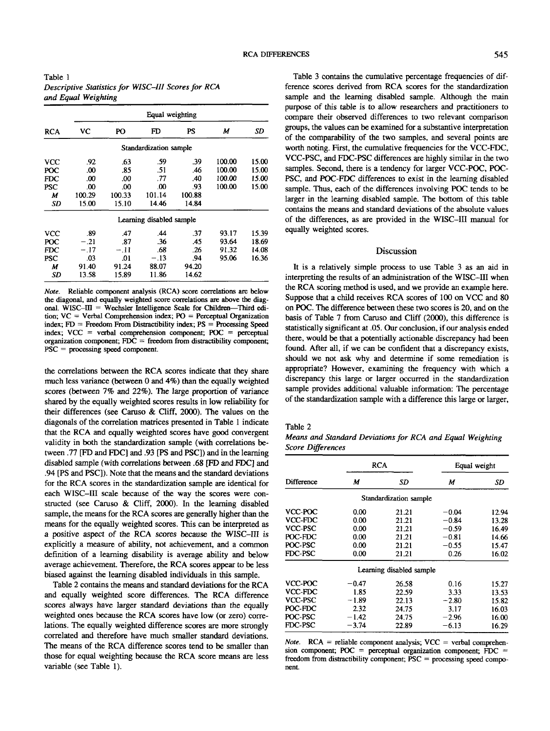|            | Equal weighting |          |                          |        |        |       |  |  |
|------------|-----------------|----------|--------------------------|--------|--------|-------|--|--|
| <b>RCA</b> | VС              | PO       | FD                       | PS     | М      | SD    |  |  |
|            |                 |          | Standardization sample   |        |        |       |  |  |
| vcc        | .92             | .63      | .59                      | .39    | 100.00 | 15.00 |  |  |
| POC        | .00             | .85      | .51                      | .46    | 100.00 | 15.00 |  |  |
| FDC.       | .00             | .00      | .77                      | .40    | 100.00 | 15.00 |  |  |
| PSC        | .00             | $\Omega$ | $\Omega$                 | .93    | 100.00 | 15.00 |  |  |
| М          | 100.29          | 100.33   | 101.14                   | 100.88 |        |       |  |  |
| SD         | 15.00           | 15.10    | 14.46                    | 14.84  |        |       |  |  |
|            |                 |          | Learning disabled sample |        |        |       |  |  |
| vcc        | .89             | .47      | .44                      | .37    | 93.17  | 15.39 |  |  |
| POC        | $-.21$          | .87      | .36                      | .45    | 93.64  | 18.69 |  |  |
| FDC.       | $-.17$          | - 11     | .68                      | -26    | 91.32  | 14.08 |  |  |
| <b>PSC</b> | .03             | .01      | $-.13$                   | .94    | 95.06  | 16.36 |  |  |
| М          | 91.40           | 91.24    | 88.07                    | 94.20  |        |       |  |  |
| SD         | 13.58           | 15.89    | 11.86                    | 14.62  |        |       |  |  |

*Note.* Reliable component analysis (RCA) score correlations are below the diagonal, and equally weighted score correlations are above the diagonal. WISC- $III$  = Wechsler Intelligence Scale for Children-Third edition;  $VC = Verbal Comprehension index$ ;  $PO = Perceptual Organization$ index;  $FD =$  Freedom From Distractibility index;  $PS =$  Processing Speed index;  $VCC$  = verbal comprehension component;  $POC$  = perceptual organization component;  $FDC = freedom from districtibility component;$ PSC = processing speed component.

the correlations between the RCA scores indicate that they share much less variance (between 0 and 4%) than the equally weighted scores (between 7% and 22%). The large proportion of variance shared by the equally weighted scores results in low reliability for their differences (see Caruso & Cliff, 2000). The values on the diagonals of the correlation matrices presented in Table 1 indicate that the RCA and equally weighted scores have good convergent validity in both the standardization sample (with correlations between .77 [FD and FDC] and .93 [PS and PSC]) and in the learning disabled sample (with correlations between .68 [FD and FDC] and .94 [PS and PSC]). Note that the means and the standard deviations for the RCA scores in the standardization sample are identical for each WISC—HI scale because of the way the scores were constructed (see Caruso & Cliff, 2000). In the learning disabled sample, the means for the RCA scores are generally higher than the means for the equally weighted scores. This can be interpreted as a positive aspect of the RCA scores because the WISC-III is explicitly a measure of ability, not achievement, and a common definition of a learning disability is average ability and below average achievement. Therefore, the RCA scores appear to be less biased against the learning disabled individuals in this sample.

Table 2 contains the means and standard deviations for the RCA and equally weighted score differences. The RCA difference scores always have larger standard deviations than the equally weighted ones because the RCA scores have low (or zero) correlations. The equally weighted difference scores are more strongly correlated and therefore have much smaller standard deviations. The means of the RCA difference scores tend to be smaller than those for equal weighting because the RCA score means are less variable (see Table 1).

Table 3 contains the cumulative percentage frequencies of difference scores derived from RCA scores for the standardization sample and the learning disabled sample. Although the main purpose of this table is to allow researchers and practitioners to compare their observed differences to two relevant comparison groups, the values can be examined for a substantive interpretation of the comparability of the two samples, and several points are worth noting. First, the cumulative frequencies for the VCC-FDC, VCC-PSC, and FDC-PSC differences are highly similar in the two samples. Second, there is a tendency for larger VCC-POC, POC-PSC, and POC-FDC differences to exist in the learning disabled sample. Thus, each of the differences involving POC tends to be larger in the learning disabled sample. The bottom of this table contains the means and standard deviations of the absolute values of the differences, as are provided in the WISC-III manual for equally weighted scores.

# Discussion

It is a relatively simple process to use Table 3 as an aid in interpreting the results of an administration of the WISC-III when the RCA scoring method is used, and we provide an example here. Suppose that a child receives RCA scores of 100 on VCC and 80 on POC. The difference between these two scores is 20, and on the basis of Table 7 from Caruso and Cliff (2000), this difference is statistically significant at .05. Our conclusion, if our analysis ended there, would be that a potentially actionable discrepancy had been found. After all, if we can be confident that a discrepancy exists, should we not ask why and determine if some remediation is appropriate? However, examining the frequency with which a discrepancy this large or larger occurred in the standardization sample provides additional valuable information: The percentage of the standardization sample with a difference this large or larger,

Table 2

*Means and Standard Deviations for RCA and Equal Weighting Score Differences*

|            | <b>RCA</b> |                          | Equal weight |       |  |
|------------|------------|--------------------------|--------------|-------|--|
| Difference | м          | SD                       | М            | SD    |  |
|            |            | Standardization sample   |              |       |  |
| VCC-POC    | 0.00       | 21.21                    | $-0.04$      | 12.94 |  |
| VCC-FDC    | 0.00       | 21.21                    | $-0.84$      | 13.28 |  |
| VCC-PSC    | 0.00       | 21.21                    | $-0.59$      | 16.49 |  |
| POC-FDC    | 0.00       | 21.21                    | $-0.81$      | 14.66 |  |
| POC-PSC    | 0.00       | 21.21                    | $-0.55$      | 15.47 |  |
| FDC-PSC    | 0.00       | 21.21                    | 0.26         | 16.02 |  |
|            |            | Learning disabled sample |              |       |  |
| VCC-POC    | $-0.47$    | 26.58                    | 0.16         | 15.27 |  |
| VCC-FDC    | 1.85       | 22.59                    | 3.33         | 13.53 |  |
| VCC-PSC    | $-1.89$    | 22.13                    | $-2.80$      | 15.82 |  |
| POC-FDC    | 2.32       | 24.75                    | 3.17         | 16.03 |  |
| POC PSC    | $-1.42$    | 24.75                    | $-2.96$      | 16.00 |  |
| FDC-PSC    | $-3.74$    | 22.89                    | $-6.13$      | 16.29 |  |

*Note.*  $RCA =$  reliable component analysis;  $VCC =$  verbal comprehension component; POC = perceptual organization component; FDC = freedom from distractibility component; PSC = processing speed component.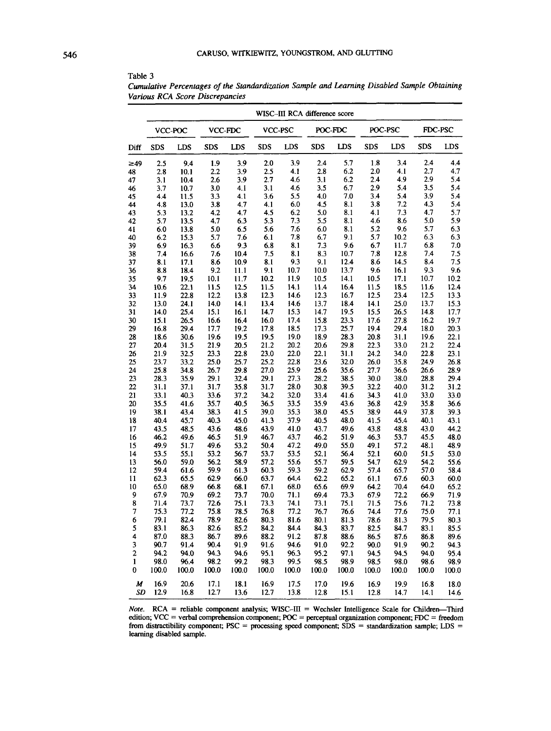| POC-FDC<br>POC-PSC<br>FDC-PSC<br>VCC-PSC<br>VCC-POC<br>VCC-FDC<br>LDS<br><b>SDS</b><br><b>LDS</b><br><b>SDS</b><br>LDS<br><b>SDS</b><br><b>SDS</b><br><b>LDS</b><br><b>SDS</b><br><b>LDS</b><br><b>SDS</b><br><b>LDS</b><br>Diff<br>1.8<br>3.4<br>2.4<br>4.4<br>3.9<br>2.4<br>5.7<br>9.4<br>1.9<br>3.9<br>2.0<br>$\geq 49$<br>2.5<br>2.7<br>4.1<br>2.8<br>6.2<br>2.0<br>4.1<br>4.7<br>3.9<br>2.5<br>48<br>2.8<br>10.1<br>2.2<br>2.9<br>2.7<br>3.1<br>6.2<br>2.4<br>4,9<br>5.4<br>3.1<br>2.6<br>3.9<br>4.6<br>47<br>10.4<br>3.5<br>6.7<br>2.9<br>5.4<br>3.5<br>5.4<br>3.7<br>3.0<br>4.1<br>3.1<br>4.6<br>46<br>10.7<br>3.9<br>3.6<br>4.0<br>7.0<br>3,4<br>5.4<br>5.4<br>4.4<br>11.5<br>3.3<br>4.1<br>5.5<br>8.1<br>4.3<br>4.8<br>3.8<br>4.7<br>4.1<br>6.0<br>4.5<br>3.8<br>7.2<br>5.4<br>44<br>13.0<br>4.5<br>6.2<br>5.0<br>8.1<br>4.1<br>7.3<br>4.7<br>5.7<br>5.3<br>13.2<br>4.2<br>4.7<br>7.3<br>8.1<br>5.0<br>5.9<br>5.7<br>13.5<br>4.7<br>6.3<br>5.3<br>5.5<br>4.6<br>8.6<br>42<br>5.0<br>5.6<br>7.6<br>6.0<br>8.1<br>5.2<br>9.6<br>5.7<br>6.3<br>6.0<br>13.8<br>6.5<br>6.1<br>7.8<br>6.7<br>9.1<br>5.7<br>10.2<br>6.3<br>6.3<br>6.2<br>15.3<br>5.7<br>7.6<br>9.6<br>6.7<br>11.7<br>6.8<br>6.9<br>16.3<br>6.6<br>9.3<br>6.8<br>8.1<br>7.3<br>7.0<br>10.7<br>12.8<br>10.4<br>7.5<br>8.1<br>8.3<br>7.8<br>7.4<br>7.5<br>7.4<br>16.6<br>7.6<br>9.3<br>12.4<br>8.6<br>14.5<br>8.1<br>17.1<br>8.6<br>10.9<br>8.1<br>9.1<br>8.4<br>7.5<br>13.7<br>9.6<br>8.8<br>18.4<br>9.2<br>11.1<br>9.1<br>10.7<br>10.0<br>9.6<br>16.1<br>9.3<br>9.7<br>19.5<br>10.1<br>11.7<br>10.2<br>11.9<br>10.5<br>14.1<br>10.5<br>17.1<br>10.7<br>10.2<br>22.1<br>12.5<br>11.5<br>14.1<br>16.4<br>11.5<br>18.5<br>11.6<br>12.4<br>34<br>10.6<br>11.5<br>11.4<br>22.8<br>12.2<br>13.8<br>12.3<br>14.6<br>12.3<br>16.7<br>12.5<br>23.4<br>12.5<br>13.3<br>11.9<br>13.7<br>24.1<br>14.0<br>14.1<br>13.4<br>13.7<br>25.0<br>15.3<br>32<br>13.0<br>14.6<br>18.4<br>14.1<br>17.7<br>25.4<br>15.1<br>16.1<br>14.7<br>15.3<br>14.7<br>19.5<br>15.5<br>26.5<br>14.8<br>14.0<br>23.3<br>27.8<br>16.2<br>19.7<br>15.1<br>26.5<br>16.6<br>16.4<br>16.0<br>17.4<br>15.8<br>17.6<br>29.4<br>25.7<br>19.4<br>29.4<br>18.0<br>20.3<br>16.8<br>17.7<br>19,2<br>17.8<br>18.5<br>17.3<br>19.0<br>28.3<br>20.8<br>31.1<br>19.6<br>22.1<br>18.6<br>30.6<br>19.6<br>19.5<br>19.5<br>18.9<br>21.9<br>21.2<br>20.2<br>29.8<br>22.3<br>33.0<br>21.2<br>22.4<br>20.4<br>31.5<br>20.5<br>20.6<br>22.0<br>22.1<br>31.1<br>22.8<br>23.1<br>21.9<br>32.5<br>23.3<br>22.8<br>23.0<br>24.2<br>34.0<br>33.2<br>25.0<br>22.8<br>23.6<br>32.0<br>35.8<br>26.8<br>23.7<br>25.7<br>25.2<br>26.0<br>24.9<br>25.9<br>25.8<br>34.8<br>26.7<br>29.8<br>27.0<br>25.6<br>35.6<br>27.7<br>36.6<br>26.6<br>28.9<br>23<br>27.3<br>38.5<br>30.0<br>38.0<br>28.8<br>29.4<br>28.3<br>35.9<br>29.1<br>32.4<br>29.1<br>28.2<br>39.5<br>31.2<br>31.1<br>37.1<br>31.7<br>35.8<br>31.7<br>28.0<br>30.8<br>32.2<br>40.0<br>31.2<br>33.6<br>34.2<br>32.0<br>33.4<br>41.6<br>34.3<br>33.0<br>33.0<br>33.1<br>40.3<br>37.2<br>41.0<br>35.8<br>20<br>35.5<br>41.6<br>35.7<br>40.5<br>36.5<br>33.5<br>35.9<br>43.6<br>36.8<br>42.9<br>36.6<br>35.3<br>37.8<br>38.1<br>43.4<br>38.3<br>41.5<br>39.0<br>38.0<br>45.5<br>38.9<br>44.9<br>39.3<br>19<br>43.1<br>40.3<br>45.0<br>37.9<br>40.1<br>18<br>40.4<br>45.7<br>41.3<br>40.5<br>48.0<br>41.5<br>45.4<br>43.5<br>48.5<br>43.6<br>48.6<br>43.9<br>41.0<br>43.7<br>49.6<br>43.8<br>48.8<br>43.0<br>44.2<br>17<br>48.0<br>16<br>46.2<br>49.6<br>46.5<br>51.9<br>46.7<br>43.7<br>46.2<br>51.9<br>46.3<br>53.7<br>45.5<br>15<br>49.9<br>51.7<br>49.6<br>53.2<br>50.4<br>47.2<br>49.0<br>55.0<br>49.1<br>57.2<br>48.1<br>48.9<br>60.0<br>53.0<br>14<br>53.5<br>55.1<br>53.2<br>56.7<br>53.7<br>53.5<br>52.1<br>56.4<br>52.1<br>51.5<br>13<br>56.0<br>59.0<br>56.2<br>58.9<br>57.2<br>55.6<br>55.7<br>59.5<br>54.7<br>62.9<br>54.2<br>55.6<br>57.0<br>12<br>59.4<br>61.6<br>59.9<br>61.3<br>60.3<br>59.3<br>59.2<br>62.9<br>57.4<br>65.7<br>58.4<br>66.0<br>63.7<br>60.3<br>60.0<br>11<br>62.3<br>65.5<br>62.9<br>64.4<br>62.2<br>65.2<br>61.1<br>67.6<br>65.0<br>68.9<br>66.8<br>68.0<br>65.6<br>69.9<br>70.4<br>64.0<br>65.2<br>10<br>68.1<br>67.1<br>64.2<br>9<br>67.9<br>69.2<br>73.7<br>71.1<br>73.3<br>67.9<br>72.2<br>66.9<br>71.9<br>70.9<br>70.0<br>69.4<br>8<br>71.4<br>73.7<br>72.6<br>75.1<br>74.1<br>75.1<br>75.6<br>73.8<br>73.3<br>73.1<br>71.5<br>71.2<br>75.3<br>75.8<br>7<br>77.2<br>78.5<br>76.8<br>77.2<br>75.0<br>76.7<br>76.6<br>74.4<br>77.6<br>77.1<br>82.4<br>78.9<br>82.6<br>79.5<br>79.1<br>80.3<br>81.6<br>80.1<br>81.3<br>78.6<br>81.3<br>80.3<br>6<br>5<br>85.2<br>83.1<br>86.3<br>82.6<br>84.2<br>84.4<br>84.3<br>83.7<br>82.5<br>84.7<br>83.1<br>85.5<br>4<br>87.0<br>88.3<br>86.7<br>89.6<br>88.2<br>91.2<br>87.8<br>88.6<br>86.5<br>87.6<br>86.8<br>89.6<br>91.4<br>90.4<br>91.6<br>3<br>90.7<br>91.9<br>94.6<br>91.0<br>92.2<br>90.0<br>91.9<br>90.2<br>94.3<br>2<br>94.2<br>94.0<br>94.3<br>94.6<br>95.1<br>96.3<br>95.2<br>97.1<br>95.4<br>94.5<br>94.5<br>94.0<br>98.0<br>96.4<br>98.2<br>99.2<br>98.3<br>99.5<br>98.5<br>98.9<br>98.6<br>1<br>98.5<br>98.0<br>98.9<br>100.0<br>0<br>100.0<br>100.0<br>100.0<br>100.0<br>100.0<br>100.0<br>100.0<br>100.0<br>100.0<br>100.0<br>100.0<br>16.9<br>$\boldsymbol{M}$<br>20.6<br>17.1<br>18.1<br>16.9<br>17.5<br>17.0<br>19.6<br>16.9<br>19.9<br>16.8<br>18.0<br>12.9<br>12.7<br>SD<br>16.8<br>13.6<br>12.7<br>13.8<br>12.8<br>15.1<br>12.8<br>14.7<br>14.1<br>14.6 |    | WISC-III RCA difference score |  |  |  |  |  |  |  |  |  |  |  |
|----------------------------------------------------------------------------------------------------------------------------------------------------------------------------------------------------------------------------------------------------------------------------------------------------------------------------------------------------------------------------------------------------------------------------------------------------------------------------------------------------------------------------------------------------------------------------------------------------------------------------------------------------------------------------------------------------------------------------------------------------------------------------------------------------------------------------------------------------------------------------------------------------------------------------------------------------------------------------------------------------------------------------------------------------------------------------------------------------------------------------------------------------------------------------------------------------------------------------------------------------------------------------------------------------------------------------------------------------------------------------------------------------------------------------------------------------------------------------------------------------------------------------------------------------------------------------------------------------------------------------------------------------------------------------------------------------------------------------------------------------------------------------------------------------------------------------------------------------------------------------------------------------------------------------------------------------------------------------------------------------------------------------------------------------------------------------------------------------------------------------------------------------------------------------------------------------------------------------------------------------------------------------------------------------------------------------------------------------------------------------------------------------------------------------------------------------------------------------------------------------------------------------------------------------------------------------------------------------------------------------------------------------------------------------------------------------------------------------------------------------------------------------------------------------------------------------------------------------------------------------------------------------------------------------------------------------------------------------------------------------------------------------------------------------------------------------------------------------------------------------------------------------------------------------------------------------------------------------------------------------------------------------------------------------------------------------------------------------------------------------------------------------------------------------------------------------------------------------------------------------------------------------------------------------------------------------------------------------------------------------------------------------------------------------------------------------------------------------------------------------------------------------------------------------------------------------------------------------------------------------------------------------------------------------------------------------------------------------------------------------------------------------------------------------------------------------------------------------------------------------------------------------------------------------------------------------------------------------------------------------------------------------------------------------------------------------------------------------------------------------------------------------------------------------------------------------------------------------------------------------------------------------------------------------------------------------------------------------------------------------------------------------------------------------------------------------------------------------------------------------------------------------------------------------------------------------------------------------------------------------------------------------------------------------------------------------------------------------------------------------------------------------------------------------------------------------------------------------------------------------------------------------------------------------------------------------------------------------------------------------------------------------------------------------------------------------------------------------------------------------------------------------------------------------------------------------------------------------------------------------------|----|-------------------------------|--|--|--|--|--|--|--|--|--|--|--|
|                                                                                                                                                                                                                                                                                                                                                                                                                                                                                                                                                                                                                                                                                                                                                                                                                                                                                                                                                                                                                                                                                                                                                                                                                                                                                                                                                                                                                                                                                                                                                                                                                                                                                                                                                                                                                                                                                                                                                                                                                                                                                                                                                                                                                                                                                                                                                                                                                                                                                                                                                                                                                                                                                                                                                                                                                                                                                                                                                                                                                                                                                                                                                                                                                                                                                                                                                                                                                                                                                                                                                                                                                                                                                                                                                                                                                                                                                                                                                                                                                                                                                                                                                                                                                                                                                                                                                                                                                                                                                                                                                                                                                                                                                                                                                                                                                                                                                                                                                                                                                                                                                                                                                                                                                                                                                                                                                                                                                                                                                                          |    |                               |  |  |  |  |  |  |  |  |  |  |  |
|                                                                                                                                                                                                                                                                                                                                                                                                                                                                                                                                                                                                                                                                                                                                                                                                                                                                                                                                                                                                                                                                                                                                                                                                                                                                                                                                                                                                                                                                                                                                                                                                                                                                                                                                                                                                                                                                                                                                                                                                                                                                                                                                                                                                                                                                                                                                                                                                                                                                                                                                                                                                                                                                                                                                                                                                                                                                                                                                                                                                                                                                                                                                                                                                                                                                                                                                                                                                                                                                                                                                                                                                                                                                                                                                                                                                                                                                                                                                                                                                                                                                                                                                                                                                                                                                                                                                                                                                                                                                                                                                                                                                                                                                                                                                                                                                                                                                                                                                                                                                                                                                                                                                                                                                                                                                                                                                                                                                                                                                                                          |    |                               |  |  |  |  |  |  |  |  |  |  |  |
|                                                                                                                                                                                                                                                                                                                                                                                                                                                                                                                                                                                                                                                                                                                                                                                                                                                                                                                                                                                                                                                                                                                                                                                                                                                                                                                                                                                                                                                                                                                                                                                                                                                                                                                                                                                                                                                                                                                                                                                                                                                                                                                                                                                                                                                                                                                                                                                                                                                                                                                                                                                                                                                                                                                                                                                                                                                                                                                                                                                                                                                                                                                                                                                                                                                                                                                                                                                                                                                                                                                                                                                                                                                                                                                                                                                                                                                                                                                                                                                                                                                                                                                                                                                                                                                                                                                                                                                                                                                                                                                                                                                                                                                                                                                                                                                                                                                                                                                                                                                                                                                                                                                                                                                                                                                                                                                                                                                                                                                                                                          |    |                               |  |  |  |  |  |  |  |  |  |  |  |
|                                                                                                                                                                                                                                                                                                                                                                                                                                                                                                                                                                                                                                                                                                                                                                                                                                                                                                                                                                                                                                                                                                                                                                                                                                                                                                                                                                                                                                                                                                                                                                                                                                                                                                                                                                                                                                                                                                                                                                                                                                                                                                                                                                                                                                                                                                                                                                                                                                                                                                                                                                                                                                                                                                                                                                                                                                                                                                                                                                                                                                                                                                                                                                                                                                                                                                                                                                                                                                                                                                                                                                                                                                                                                                                                                                                                                                                                                                                                                                                                                                                                                                                                                                                                                                                                                                                                                                                                                                                                                                                                                                                                                                                                                                                                                                                                                                                                                                                                                                                                                                                                                                                                                                                                                                                                                                                                                                                                                                                                                                          |    |                               |  |  |  |  |  |  |  |  |  |  |  |
|                                                                                                                                                                                                                                                                                                                                                                                                                                                                                                                                                                                                                                                                                                                                                                                                                                                                                                                                                                                                                                                                                                                                                                                                                                                                                                                                                                                                                                                                                                                                                                                                                                                                                                                                                                                                                                                                                                                                                                                                                                                                                                                                                                                                                                                                                                                                                                                                                                                                                                                                                                                                                                                                                                                                                                                                                                                                                                                                                                                                                                                                                                                                                                                                                                                                                                                                                                                                                                                                                                                                                                                                                                                                                                                                                                                                                                                                                                                                                                                                                                                                                                                                                                                                                                                                                                                                                                                                                                                                                                                                                                                                                                                                                                                                                                                                                                                                                                                                                                                                                                                                                                                                                                                                                                                                                                                                                                                                                                                                                                          |    |                               |  |  |  |  |  |  |  |  |  |  |  |
|                                                                                                                                                                                                                                                                                                                                                                                                                                                                                                                                                                                                                                                                                                                                                                                                                                                                                                                                                                                                                                                                                                                                                                                                                                                                                                                                                                                                                                                                                                                                                                                                                                                                                                                                                                                                                                                                                                                                                                                                                                                                                                                                                                                                                                                                                                                                                                                                                                                                                                                                                                                                                                                                                                                                                                                                                                                                                                                                                                                                                                                                                                                                                                                                                                                                                                                                                                                                                                                                                                                                                                                                                                                                                                                                                                                                                                                                                                                                                                                                                                                                                                                                                                                                                                                                                                                                                                                                                                                                                                                                                                                                                                                                                                                                                                                                                                                                                                                                                                                                                                                                                                                                                                                                                                                                                                                                                                                                                                                                                                          |    |                               |  |  |  |  |  |  |  |  |  |  |  |
|                                                                                                                                                                                                                                                                                                                                                                                                                                                                                                                                                                                                                                                                                                                                                                                                                                                                                                                                                                                                                                                                                                                                                                                                                                                                                                                                                                                                                                                                                                                                                                                                                                                                                                                                                                                                                                                                                                                                                                                                                                                                                                                                                                                                                                                                                                                                                                                                                                                                                                                                                                                                                                                                                                                                                                                                                                                                                                                                                                                                                                                                                                                                                                                                                                                                                                                                                                                                                                                                                                                                                                                                                                                                                                                                                                                                                                                                                                                                                                                                                                                                                                                                                                                                                                                                                                                                                                                                                                                                                                                                                                                                                                                                                                                                                                                                                                                                                                                                                                                                                                                                                                                                                                                                                                                                                                                                                                                                                                                                                                          | 45 |                               |  |  |  |  |  |  |  |  |  |  |  |
|                                                                                                                                                                                                                                                                                                                                                                                                                                                                                                                                                                                                                                                                                                                                                                                                                                                                                                                                                                                                                                                                                                                                                                                                                                                                                                                                                                                                                                                                                                                                                                                                                                                                                                                                                                                                                                                                                                                                                                                                                                                                                                                                                                                                                                                                                                                                                                                                                                                                                                                                                                                                                                                                                                                                                                                                                                                                                                                                                                                                                                                                                                                                                                                                                                                                                                                                                                                                                                                                                                                                                                                                                                                                                                                                                                                                                                                                                                                                                                                                                                                                                                                                                                                                                                                                                                                                                                                                                                                                                                                                                                                                                                                                                                                                                                                                                                                                                                                                                                                                                                                                                                                                                                                                                                                                                                                                                                                                                                                                                                          |    |                               |  |  |  |  |  |  |  |  |  |  |  |
|                                                                                                                                                                                                                                                                                                                                                                                                                                                                                                                                                                                                                                                                                                                                                                                                                                                                                                                                                                                                                                                                                                                                                                                                                                                                                                                                                                                                                                                                                                                                                                                                                                                                                                                                                                                                                                                                                                                                                                                                                                                                                                                                                                                                                                                                                                                                                                                                                                                                                                                                                                                                                                                                                                                                                                                                                                                                                                                                                                                                                                                                                                                                                                                                                                                                                                                                                                                                                                                                                                                                                                                                                                                                                                                                                                                                                                                                                                                                                                                                                                                                                                                                                                                                                                                                                                                                                                                                                                                                                                                                                                                                                                                                                                                                                                                                                                                                                                                                                                                                                                                                                                                                                                                                                                                                                                                                                                                                                                                                                                          | 43 |                               |  |  |  |  |  |  |  |  |  |  |  |
|                                                                                                                                                                                                                                                                                                                                                                                                                                                                                                                                                                                                                                                                                                                                                                                                                                                                                                                                                                                                                                                                                                                                                                                                                                                                                                                                                                                                                                                                                                                                                                                                                                                                                                                                                                                                                                                                                                                                                                                                                                                                                                                                                                                                                                                                                                                                                                                                                                                                                                                                                                                                                                                                                                                                                                                                                                                                                                                                                                                                                                                                                                                                                                                                                                                                                                                                                                                                                                                                                                                                                                                                                                                                                                                                                                                                                                                                                                                                                                                                                                                                                                                                                                                                                                                                                                                                                                                                                                                                                                                                                                                                                                                                                                                                                                                                                                                                                                                                                                                                                                                                                                                                                                                                                                                                                                                                                                                                                                                                                                          |    |                               |  |  |  |  |  |  |  |  |  |  |  |
|                                                                                                                                                                                                                                                                                                                                                                                                                                                                                                                                                                                                                                                                                                                                                                                                                                                                                                                                                                                                                                                                                                                                                                                                                                                                                                                                                                                                                                                                                                                                                                                                                                                                                                                                                                                                                                                                                                                                                                                                                                                                                                                                                                                                                                                                                                                                                                                                                                                                                                                                                                                                                                                                                                                                                                                                                                                                                                                                                                                                                                                                                                                                                                                                                                                                                                                                                                                                                                                                                                                                                                                                                                                                                                                                                                                                                                                                                                                                                                                                                                                                                                                                                                                                                                                                                                                                                                                                                                                                                                                                                                                                                                                                                                                                                                                                                                                                                                                                                                                                                                                                                                                                                                                                                                                                                                                                                                                                                                                                                                          | 41 |                               |  |  |  |  |  |  |  |  |  |  |  |
|                                                                                                                                                                                                                                                                                                                                                                                                                                                                                                                                                                                                                                                                                                                                                                                                                                                                                                                                                                                                                                                                                                                                                                                                                                                                                                                                                                                                                                                                                                                                                                                                                                                                                                                                                                                                                                                                                                                                                                                                                                                                                                                                                                                                                                                                                                                                                                                                                                                                                                                                                                                                                                                                                                                                                                                                                                                                                                                                                                                                                                                                                                                                                                                                                                                                                                                                                                                                                                                                                                                                                                                                                                                                                                                                                                                                                                                                                                                                                                                                                                                                                                                                                                                                                                                                                                                                                                                                                                                                                                                                                                                                                                                                                                                                                                                                                                                                                                                                                                                                                                                                                                                                                                                                                                                                                                                                                                                                                                                                                                          | 40 |                               |  |  |  |  |  |  |  |  |  |  |  |
|                                                                                                                                                                                                                                                                                                                                                                                                                                                                                                                                                                                                                                                                                                                                                                                                                                                                                                                                                                                                                                                                                                                                                                                                                                                                                                                                                                                                                                                                                                                                                                                                                                                                                                                                                                                                                                                                                                                                                                                                                                                                                                                                                                                                                                                                                                                                                                                                                                                                                                                                                                                                                                                                                                                                                                                                                                                                                                                                                                                                                                                                                                                                                                                                                                                                                                                                                                                                                                                                                                                                                                                                                                                                                                                                                                                                                                                                                                                                                                                                                                                                                                                                                                                                                                                                                                                                                                                                                                                                                                                                                                                                                                                                                                                                                                                                                                                                                                                                                                                                                                                                                                                                                                                                                                                                                                                                                                                                                                                                                                          | 39 |                               |  |  |  |  |  |  |  |  |  |  |  |
|                                                                                                                                                                                                                                                                                                                                                                                                                                                                                                                                                                                                                                                                                                                                                                                                                                                                                                                                                                                                                                                                                                                                                                                                                                                                                                                                                                                                                                                                                                                                                                                                                                                                                                                                                                                                                                                                                                                                                                                                                                                                                                                                                                                                                                                                                                                                                                                                                                                                                                                                                                                                                                                                                                                                                                                                                                                                                                                                                                                                                                                                                                                                                                                                                                                                                                                                                                                                                                                                                                                                                                                                                                                                                                                                                                                                                                                                                                                                                                                                                                                                                                                                                                                                                                                                                                                                                                                                                                                                                                                                                                                                                                                                                                                                                                                                                                                                                                                                                                                                                                                                                                                                                                                                                                                                                                                                                                                                                                                                                                          | 38 |                               |  |  |  |  |  |  |  |  |  |  |  |
|                                                                                                                                                                                                                                                                                                                                                                                                                                                                                                                                                                                                                                                                                                                                                                                                                                                                                                                                                                                                                                                                                                                                                                                                                                                                                                                                                                                                                                                                                                                                                                                                                                                                                                                                                                                                                                                                                                                                                                                                                                                                                                                                                                                                                                                                                                                                                                                                                                                                                                                                                                                                                                                                                                                                                                                                                                                                                                                                                                                                                                                                                                                                                                                                                                                                                                                                                                                                                                                                                                                                                                                                                                                                                                                                                                                                                                                                                                                                                                                                                                                                                                                                                                                                                                                                                                                                                                                                                                                                                                                                                                                                                                                                                                                                                                                                                                                                                                                                                                                                                                                                                                                                                                                                                                                                                                                                                                                                                                                                                                          | 37 |                               |  |  |  |  |  |  |  |  |  |  |  |
|                                                                                                                                                                                                                                                                                                                                                                                                                                                                                                                                                                                                                                                                                                                                                                                                                                                                                                                                                                                                                                                                                                                                                                                                                                                                                                                                                                                                                                                                                                                                                                                                                                                                                                                                                                                                                                                                                                                                                                                                                                                                                                                                                                                                                                                                                                                                                                                                                                                                                                                                                                                                                                                                                                                                                                                                                                                                                                                                                                                                                                                                                                                                                                                                                                                                                                                                                                                                                                                                                                                                                                                                                                                                                                                                                                                                                                                                                                                                                                                                                                                                                                                                                                                                                                                                                                                                                                                                                                                                                                                                                                                                                                                                                                                                                                                                                                                                                                                                                                                                                                                                                                                                                                                                                                                                                                                                                                                                                                                                                                          | 36 |                               |  |  |  |  |  |  |  |  |  |  |  |
|                                                                                                                                                                                                                                                                                                                                                                                                                                                                                                                                                                                                                                                                                                                                                                                                                                                                                                                                                                                                                                                                                                                                                                                                                                                                                                                                                                                                                                                                                                                                                                                                                                                                                                                                                                                                                                                                                                                                                                                                                                                                                                                                                                                                                                                                                                                                                                                                                                                                                                                                                                                                                                                                                                                                                                                                                                                                                                                                                                                                                                                                                                                                                                                                                                                                                                                                                                                                                                                                                                                                                                                                                                                                                                                                                                                                                                                                                                                                                                                                                                                                                                                                                                                                                                                                                                                                                                                                                                                                                                                                                                                                                                                                                                                                                                                                                                                                                                                                                                                                                                                                                                                                                                                                                                                                                                                                                                                                                                                                                                          | 35 |                               |  |  |  |  |  |  |  |  |  |  |  |
|                                                                                                                                                                                                                                                                                                                                                                                                                                                                                                                                                                                                                                                                                                                                                                                                                                                                                                                                                                                                                                                                                                                                                                                                                                                                                                                                                                                                                                                                                                                                                                                                                                                                                                                                                                                                                                                                                                                                                                                                                                                                                                                                                                                                                                                                                                                                                                                                                                                                                                                                                                                                                                                                                                                                                                                                                                                                                                                                                                                                                                                                                                                                                                                                                                                                                                                                                                                                                                                                                                                                                                                                                                                                                                                                                                                                                                                                                                                                                                                                                                                                                                                                                                                                                                                                                                                                                                                                                                                                                                                                                                                                                                                                                                                                                                                                                                                                                                                                                                                                                                                                                                                                                                                                                                                                                                                                                                                                                                                                                                          |    |                               |  |  |  |  |  |  |  |  |  |  |  |
|                                                                                                                                                                                                                                                                                                                                                                                                                                                                                                                                                                                                                                                                                                                                                                                                                                                                                                                                                                                                                                                                                                                                                                                                                                                                                                                                                                                                                                                                                                                                                                                                                                                                                                                                                                                                                                                                                                                                                                                                                                                                                                                                                                                                                                                                                                                                                                                                                                                                                                                                                                                                                                                                                                                                                                                                                                                                                                                                                                                                                                                                                                                                                                                                                                                                                                                                                                                                                                                                                                                                                                                                                                                                                                                                                                                                                                                                                                                                                                                                                                                                                                                                                                                                                                                                                                                                                                                                                                                                                                                                                                                                                                                                                                                                                                                                                                                                                                                                                                                                                                                                                                                                                                                                                                                                                                                                                                                                                                                                                                          | 33 |                               |  |  |  |  |  |  |  |  |  |  |  |
|                                                                                                                                                                                                                                                                                                                                                                                                                                                                                                                                                                                                                                                                                                                                                                                                                                                                                                                                                                                                                                                                                                                                                                                                                                                                                                                                                                                                                                                                                                                                                                                                                                                                                                                                                                                                                                                                                                                                                                                                                                                                                                                                                                                                                                                                                                                                                                                                                                                                                                                                                                                                                                                                                                                                                                                                                                                                                                                                                                                                                                                                                                                                                                                                                                                                                                                                                                                                                                                                                                                                                                                                                                                                                                                                                                                                                                                                                                                                                                                                                                                                                                                                                                                                                                                                                                                                                                                                                                                                                                                                                                                                                                                                                                                                                                                                                                                                                                                                                                                                                                                                                                                                                                                                                                                                                                                                                                                                                                                                                                          |    |                               |  |  |  |  |  |  |  |  |  |  |  |
|                                                                                                                                                                                                                                                                                                                                                                                                                                                                                                                                                                                                                                                                                                                                                                                                                                                                                                                                                                                                                                                                                                                                                                                                                                                                                                                                                                                                                                                                                                                                                                                                                                                                                                                                                                                                                                                                                                                                                                                                                                                                                                                                                                                                                                                                                                                                                                                                                                                                                                                                                                                                                                                                                                                                                                                                                                                                                                                                                                                                                                                                                                                                                                                                                                                                                                                                                                                                                                                                                                                                                                                                                                                                                                                                                                                                                                                                                                                                                                                                                                                                                                                                                                                                                                                                                                                                                                                                                                                                                                                                                                                                                                                                                                                                                                                                                                                                                                                                                                                                                                                                                                                                                                                                                                                                                                                                                                                                                                                                                                          | 31 |                               |  |  |  |  |  |  |  |  |  |  |  |
|                                                                                                                                                                                                                                                                                                                                                                                                                                                                                                                                                                                                                                                                                                                                                                                                                                                                                                                                                                                                                                                                                                                                                                                                                                                                                                                                                                                                                                                                                                                                                                                                                                                                                                                                                                                                                                                                                                                                                                                                                                                                                                                                                                                                                                                                                                                                                                                                                                                                                                                                                                                                                                                                                                                                                                                                                                                                                                                                                                                                                                                                                                                                                                                                                                                                                                                                                                                                                                                                                                                                                                                                                                                                                                                                                                                                                                                                                                                                                                                                                                                                                                                                                                                                                                                                                                                                                                                                                                                                                                                                                                                                                                                                                                                                                                                                                                                                                                                                                                                                                                                                                                                                                                                                                                                                                                                                                                                                                                                                                                          | 30 |                               |  |  |  |  |  |  |  |  |  |  |  |
|                                                                                                                                                                                                                                                                                                                                                                                                                                                                                                                                                                                                                                                                                                                                                                                                                                                                                                                                                                                                                                                                                                                                                                                                                                                                                                                                                                                                                                                                                                                                                                                                                                                                                                                                                                                                                                                                                                                                                                                                                                                                                                                                                                                                                                                                                                                                                                                                                                                                                                                                                                                                                                                                                                                                                                                                                                                                                                                                                                                                                                                                                                                                                                                                                                                                                                                                                                                                                                                                                                                                                                                                                                                                                                                                                                                                                                                                                                                                                                                                                                                                                                                                                                                                                                                                                                                                                                                                                                                                                                                                                                                                                                                                                                                                                                                                                                                                                                                                                                                                                                                                                                                                                                                                                                                                                                                                                                                                                                                                                                          | 29 |                               |  |  |  |  |  |  |  |  |  |  |  |
|                                                                                                                                                                                                                                                                                                                                                                                                                                                                                                                                                                                                                                                                                                                                                                                                                                                                                                                                                                                                                                                                                                                                                                                                                                                                                                                                                                                                                                                                                                                                                                                                                                                                                                                                                                                                                                                                                                                                                                                                                                                                                                                                                                                                                                                                                                                                                                                                                                                                                                                                                                                                                                                                                                                                                                                                                                                                                                                                                                                                                                                                                                                                                                                                                                                                                                                                                                                                                                                                                                                                                                                                                                                                                                                                                                                                                                                                                                                                                                                                                                                                                                                                                                                                                                                                                                                                                                                                                                                                                                                                                                                                                                                                                                                                                                                                                                                                                                                                                                                                                                                                                                                                                                                                                                                                                                                                                                                                                                                                                                          | 28 |                               |  |  |  |  |  |  |  |  |  |  |  |
|                                                                                                                                                                                                                                                                                                                                                                                                                                                                                                                                                                                                                                                                                                                                                                                                                                                                                                                                                                                                                                                                                                                                                                                                                                                                                                                                                                                                                                                                                                                                                                                                                                                                                                                                                                                                                                                                                                                                                                                                                                                                                                                                                                                                                                                                                                                                                                                                                                                                                                                                                                                                                                                                                                                                                                                                                                                                                                                                                                                                                                                                                                                                                                                                                                                                                                                                                                                                                                                                                                                                                                                                                                                                                                                                                                                                                                                                                                                                                                                                                                                                                                                                                                                                                                                                                                                                                                                                                                                                                                                                                                                                                                                                                                                                                                                                                                                                                                                                                                                                                                                                                                                                                                                                                                                                                                                                                                                                                                                                                                          | 27 |                               |  |  |  |  |  |  |  |  |  |  |  |
|                                                                                                                                                                                                                                                                                                                                                                                                                                                                                                                                                                                                                                                                                                                                                                                                                                                                                                                                                                                                                                                                                                                                                                                                                                                                                                                                                                                                                                                                                                                                                                                                                                                                                                                                                                                                                                                                                                                                                                                                                                                                                                                                                                                                                                                                                                                                                                                                                                                                                                                                                                                                                                                                                                                                                                                                                                                                                                                                                                                                                                                                                                                                                                                                                                                                                                                                                                                                                                                                                                                                                                                                                                                                                                                                                                                                                                                                                                                                                                                                                                                                                                                                                                                                                                                                                                                                                                                                                                                                                                                                                                                                                                                                                                                                                                                                                                                                                                                                                                                                                                                                                                                                                                                                                                                                                                                                                                                                                                                                                                          | 26 |                               |  |  |  |  |  |  |  |  |  |  |  |
|                                                                                                                                                                                                                                                                                                                                                                                                                                                                                                                                                                                                                                                                                                                                                                                                                                                                                                                                                                                                                                                                                                                                                                                                                                                                                                                                                                                                                                                                                                                                                                                                                                                                                                                                                                                                                                                                                                                                                                                                                                                                                                                                                                                                                                                                                                                                                                                                                                                                                                                                                                                                                                                                                                                                                                                                                                                                                                                                                                                                                                                                                                                                                                                                                                                                                                                                                                                                                                                                                                                                                                                                                                                                                                                                                                                                                                                                                                                                                                                                                                                                                                                                                                                                                                                                                                                                                                                                                                                                                                                                                                                                                                                                                                                                                                                                                                                                                                                                                                                                                                                                                                                                                                                                                                                                                                                                                                                                                                                                                                          | 25 |                               |  |  |  |  |  |  |  |  |  |  |  |
|                                                                                                                                                                                                                                                                                                                                                                                                                                                                                                                                                                                                                                                                                                                                                                                                                                                                                                                                                                                                                                                                                                                                                                                                                                                                                                                                                                                                                                                                                                                                                                                                                                                                                                                                                                                                                                                                                                                                                                                                                                                                                                                                                                                                                                                                                                                                                                                                                                                                                                                                                                                                                                                                                                                                                                                                                                                                                                                                                                                                                                                                                                                                                                                                                                                                                                                                                                                                                                                                                                                                                                                                                                                                                                                                                                                                                                                                                                                                                                                                                                                                                                                                                                                                                                                                                                                                                                                                                                                                                                                                                                                                                                                                                                                                                                                                                                                                                                                                                                                                                                                                                                                                                                                                                                                                                                                                                                                                                                                                                                          | 24 |                               |  |  |  |  |  |  |  |  |  |  |  |
|                                                                                                                                                                                                                                                                                                                                                                                                                                                                                                                                                                                                                                                                                                                                                                                                                                                                                                                                                                                                                                                                                                                                                                                                                                                                                                                                                                                                                                                                                                                                                                                                                                                                                                                                                                                                                                                                                                                                                                                                                                                                                                                                                                                                                                                                                                                                                                                                                                                                                                                                                                                                                                                                                                                                                                                                                                                                                                                                                                                                                                                                                                                                                                                                                                                                                                                                                                                                                                                                                                                                                                                                                                                                                                                                                                                                                                                                                                                                                                                                                                                                                                                                                                                                                                                                                                                                                                                                                                                                                                                                                                                                                                                                                                                                                                                                                                                                                                                                                                                                                                                                                                                                                                                                                                                                                                                                                                                                                                                                                                          |    |                               |  |  |  |  |  |  |  |  |  |  |  |
|                                                                                                                                                                                                                                                                                                                                                                                                                                                                                                                                                                                                                                                                                                                                                                                                                                                                                                                                                                                                                                                                                                                                                                                                                                                                                                                                                                                                                                                                                                                                                                                                                                                                                                                                                                                                                                                                                                                                                                                                                                                                                                                                                                                                                                                                                                                                                                                                                                                                                                                                                                                                                                                                                                                                                                                                                                                                                                                                                                                                                                                                                                                                                                                                                                                                                                                                                                                                                                                                                                                                                                                                                                                                                                                                                                                                                                                                                                                                                                                                                                                                                                                                                                                                                                                                                                                                                                                                                                                                                                                                                                                                                                                                                                                                                                                                                                                                                                                                                                                                                                                                                                                                                                                                                                                                                                                                                                                                                                                                                                          | 22 |                               |  |  |  |  |  |  |  |  |  |  |  |
|                                                                                                                                                                                                                                                                                                                                                                                                                                                                                                                                                                                                                                                                                                                                                                                                                                                                                                                                                                                                                                                                                                                                                                                                                                                                                                                                                                                                                                                                                                                                                                                                                                                                                                                                                                                                                                                                                                                                                                                                                                                                                                                                                                                                                                                                                                                                                                                                                                                                                                                                                                                                                                                                                                                                                                                                                                                                                                                                                                                                                                                                                                                                                                                                                                                                                                                                                                                                                                                                                                                                                                                                                                                                                                                                                                                                                                                                                                                                                                                                                                                                                                                                                                                                                                                                                                                                                                                                                                                                                                                                                                                                                                                                                                                                                                                                                                                                                                                                                                                                                                                                                                                                                                                                                                                                                                                                                                                                                                                                                                          | 21 |                               |  |  |  |  |  |  |  |  |  |  |  |
|                                                                                                                                                                                                                                                                                                                                                                                                                                                                                                                                                                                                                                                                                                                                                                                                                                                                                                                                                                                                                                                                                                                                                                                                                                                                                                                                                                                                                                                                                                                                                                                                                                                                                                                                                                                                                                                                                                                                                                                                                                                                                                                                                                                                                                                                                                                                                                                                                                                                                                                                                                                                                                                                                                                                                                                                                                                                                                                                                                                                                                                                                                                                                                                                                                                                                                                                                                                                                                                                                                                                                                                                                                                                                                                                                                                                                                                                                                                                                                                                                                                                                                                                                                                                                                                                                                                                                                                                                                                                                                                                                                                                                                                                                                                                                                                                                                                                                                                                                                                                                                                                                                                                                                                                                                                                                                                                                                                                                                                                                                          |    |                               |  |  |  |  |  |  |  |  |  |  |  |
|                                                                                                                                                                                                                                                                                                                                                                                                                                                                                                                                                                                                                                                                                                                                                                                                                                                                                                                                                                                                                                                                                                                                                                                                                                                                                                                                                                                                                                                                                                                                                                                                                                                                                                                                                                                                                                                                                                                                                                                                                                                                                                                                                                                                                                                                                                                                                                                                                                                                                                                                                                                                                                                                                                                                                                                                                                                                                                                                                                                                                                                                                                                                                                                                                                                                                                                                                                                                                                                                                                                                                                                                                                                                                                                                                                                                                                                                                                                                                                                                                                                                                                                                                                                                                                                                                                                                                                                                                                                                                                                                                                                                                                                                                                                                                                                                                                                                                                                                                                                                                                                                                                                                                                                                                                                                                                                                                                                                                                                                                                          |    |                               |  |  |  |  |  |  |  |  |  |  |  |
|                                                                                                                                                                                                                                                                                                                                                                                                                                                                                                                                                                                                                                                                                                                                                                                                                                                                                                                                                                                                                                                                                                                                                                                                                                                                                                                                                                                                                                                                                                                                                                                                                                                                                                                                                                                                                                                                                                                                                                                                                                                                                                                                                                                                                                                                                                                                                                                                                                                                                                                                                                                                                                                                                                                                                                                                                                                                                                                                                                                                                                                                                                                                                                                                                                                                                                                                                                                                                                                                                                                                                                                                                                                                                                                                                                                                                                                                                                                                                                                                                                                                                                                                                                                                                                                                                                                                                                                                                                                                                                                                                                                                                                                                                                                                                                                                                                                                                                                                                                                                                                                                                                                                                                                                                                                                                                                                                                                                                                                                                                          |    |                               |  |  |  |  |  |  |  |  |  |  |  |
|                                                                                                                                                                                                                                                                                                                                                                                                                                                                                                                                                                                                                                                                                                                                                                                                                                                                                                                                                                                                                                                                                                                                                                                                                                                                                                                                                                                                                                                                                                                                                                                                                                                                                                                                                                                                                                                                                                                                                                                                                                                                                                                                                                                                                                                                                                                                                                                                                                                                                                                                                                                                                                                                                                                                                                                                                                                                                                                                                                                                                                                                                                                                                                                                                                                                                                                                                                                                                                                                                                                                                                                                                                                                                                                                                                                                                                                                                                                                                                                                                                                                                                                                                                                                                                                                                                                                                                                                                                                                                                                                                                                                                                                                                                                                                                                                                                                                                                                                                                                                                                                                                                                                                                                                                                                                                                                                                                                                                                                                                                          |    |                               |  |  |  |  |  |  |  |  |  |  |  |
|                                                                                                                                                                                                                                                                                                                                                                                                                                                                                                                                                                                                                                                                                                                                                                                                                                                                                                                                                                                                                                                                                                                                                                                                                                                                                                                                                                                                                                                                                                                                                                                                                                                                                                                                                                                                                                                                                                                                                                                                                                                                                                                                                                                                                                                                                                                                                                                                                                                                                                                                                                                                                                                                                                                                                                                                                                                                                                                                                                                                                                                                                                                                                                                                                                                                                                                                                                                                                                                                                                                                                                                                                                                                                                                                                                                                                                                                                                                                                                                                                                                                                                                                                                                                                                                                                                                                                                                                                                                                                                                                                                                                                                                                                                                                                                                                                                                                                                                                                                                                                                                                                                                                                                                                                                                                                                                                                                                                                                                                                                          |    |                               |  |  |  |  |  |  |  |  |  |  |  |
|                                                                                                                                                                                                                                                                                                                                                                                                                                                                                                                                                                                                                                                                                                                                                                                                                                                                                                                                                                                                                                                                                                                                                                                                                                                                                                                                                                                                                                                                                                                                                                                                                                                                                                                                                                                                                                                                                                                                                                                                                                                                                                                                                                                                                                                                                                                                                                                                                                                                                                                                                                                                                                                                                                                                                                                                                                                                                                                                                                                                                                                                                                                                                                                                                                                                                                                                                                                                                                                                                                                                                                                                                                                                                                                                                                                                                                                                                                                                                                                                                                                                                                                                                                                                                                                                                                                                                                                                                                                                                                                                                                                                                                                                                                                                                                                                                                                                                                                                                                                                                                                                                                                                                                                                                                                                                                                                                                                                                                                                                                          |    |                               |  |  |  |  |  |  |  |  |  |  |  |
|                                                                                                                                                                                                                                                                                                                                                                                                                                                                                                                                                                                                                                                                                                                                                                                                                                                                                                                                                                                                                                                                                                                                                                                                                                                                                                                                                                                                                                                                                                                                                                                                                                                                                                                                                                                                                                                                                                                                                                                                                                                                                                                                                                                                                                                                                                                                                                                                                                                                                                                                                                                                                                                                                                                                                                                                                                                                                                                                                                                                                                                                                                                                                                                                                                                                                                                                                                                                                                                                                                                                                                                                                                                                                                                                                                                                                                                                                                                                                                                                                                                                                                                                                                                                                                                                                                                                                                                                                                                                                                                                                                                                                                                                                                                                                                                                                                                                                                                                                                                                                                                                                                                                                                                                                                                                                                                                                                                                                                                                                                          |    |                               |  |  |  |  |  |  |  |  |  |  |  |
|                                                                                                                                                                                                                                                                                                                                                                                                                                                                                                                                                                                                                                                                                                                                                                                                                                                                                                                                                                                                                                                                                                                                                                                                                                                                                                                                                                                                                                                                                                                                                                                                                                                                                                                                                                                                                                                                                                                                                                                                                                                                                                                                                                                                                                                                                                                                                                                                                                                                                                                                                                                                                                                                                                                                                                                                                                                                                                                                                                                                                                                                                                                                                                                                                                                                                                                                                                                                                                                                                                                                                                                                                                                                                                                                                                                                                                                                                                                                                                                                                                                                                                                                                                                                                                                                                                                                                                                                                                                                                                                                                                                                                                                                                                                                                                                                                                                                                                                                                                                                                                                                                                                                                                                                                                                                                                                                                                                                                                                                                                          |    |                               |  |  |  |  |  |  |  |  |  |  |  |
|                                                                                                                                                                                                                                                                                                                                                                                                                                                                                                                                                                                                                                                                                                                                                                                                                                                                                                                                                                                                                                                                                                                                                                                                                                                                                                                                                                                                                                                                                                                                                                                                                                                                                                                                                                                                                                                                                                                                                                                                                                                                                                                                                                                                                                                                                                                                                                                                                                                                                                                                                                                                                                                                                                                                                                                                                                                                                                                                                                                                                                                                                                                                                                                                                                                                                                                                                                                                                                                                                                                                                                                                                                                                                                                                                                                                                                                                                                                                                                                                                                                                                                                                                                                                                                                                                                                                                                                                                                                                                                                                                                                                                                                                                                                                                                                                                                                                                                                                                                                                                                                                                                                                                                                                                                                                                                                                                                                                                                                                                                          |    |                               |  |  |  |  |  |  |  |  |  |  |  |
|                                                                                                                                                                                                                                                                                                                                                                                                                                                                                                                                                                                                                                                                                                                                                                                                                                                                                                                                                                                                                                                                                                                                                                                                                                                                                                                                                                                                                                                                                                                                                                                                                                                                                                                                                                                                                                                                                                                                                                                                                                                                                                                                                                                                                                                                                                                                                                                                                                                                                                                                                                                                                                                                                                                                                                                                                                                                                                                                                                                                                                                                                                                                                                                                                                                                                                                                                                                                                                                                                                                                                                                                                                                                                                                                                                                                                                                                                                                                                                                                                                                                                                                                                                                                                                                                                                                                                                                                                                                                                                                                                                                                                                                                                                                                                                                                                                                                                                                                                                                                                                                                                                                                                                                                                                                                                                                                                                                                                                                                                                          |    |                               |  |  |  |  |  |  |  |  |  |  |  |
|                                                                                                                                                                                                                                                                                                                                                                                                                                                                                                                                                                                                                                                                                                                                                                                                                                                                                                                                                                                                                                                                                                                                                                                                                                                                                                                                                                                                                                                                                                                                                                                                                                                                                                                                                                                                                                                                                                                                                                                                                                                                                                                                                                                                                                                                                                                                                                                                                                                                                                                                                                                                                                                                                                                                                                                                                                                                                                                                                                                                                                                                                                                                                                                                                                                                                                                                                                                                                                                                                                                                                                                                                                                                                                                                                                                                                                                                                                                                                                                                                                                                                                                                                                                                                                                                                                                                                                                                                                                                                                                                                                                                                                                                                                                                                                                                                                                                                                                                                                                                                                                                                                                                                                                                                                                                                                                                                                                                                                                                                                          |    |                               |  |  |  |  |  |  |  |  |  |  |  |
|                                                                                                                                                                                                                                                                                                                                                                                                                                                                                                                                                                                                                                                                                                                                                                                                                                                                                                                                                                                                                                                                                                                                                                                                                                                                                                                                                                                                                                                                                                                                                                                                                                                                                                                                                                                                                                                                                                                                                                                                                                                                                                                                                                                                                                                                                                                                                                                                                                                                                                                                                                                                                                                                                                                                                                                                                                                                                                                                                                                                                                                                                                                                                                                                                                                                                                                                                                                                                                                                                                                                                                                                                                                                                                                                                                                                                                                                                                                                                                                                                                                                                                                                                                                                                                                                                                                                                                                                                                                                                                                                                                                                                                                                                                                                                                                                                                                                                                                                                                                                                                                                                                                                                                                                                                                                                                                                                                                                                                                                                                          |    |                               |  |  |  |  |  |  |  |  |  |  |  |
|                                                                                                                                                                                                                                                                                                                                                                                                                                                                                                                                                                                                                                                                                                                                                                                                                                                                                                                                                                                                                                                                                                                                                                                                                                                                                                                                                                                                                                                                                                                                                                                                                                                                                                                                                                                                                                                                                                                                                                                                                                                                                                                                                                                                                                                                                                                                                                                                                                                                                                                                                                                                                                                                                                                                                                                                                                                                                                                                                                                                                                                                                                                                                                                                                                                                                                                                                                                                                                                                                                                                                                                                                                                                                                                                                                                                                                                                                                                                                                                                                                                                                                                                                                                                                                                                                                                                                                                                                                                                                                                                                                                                                                                                                                                                                                                                                                                                                                                                                                                                                                                                                                                                                                                                                                                                                                                                                                                                                                                                                                          |    |                               |  |  |  |  |  |  |  |  |  |  |  |
|                                                                                                                                                                                                                                                                                                                                                                                                                                                                                                                                                                                                                                                                                                                                                                                                                                                                                                                                                                                                                                                                                                                                                                                                                                                                                                                                                                                                                                                                                                                                                                                                                                                                                                                                                                                                                                                                                                                                                                                                                                                                                                                                                                                                                                                                                                                                                                                                                                                                                                                                                                                                                                                                                                                                                                                                                                                                                                                                                                                                                                                                                                                                                                                                                                                                                                                                                                                                                                                                                                                                                                                                                                                                                                                                                                                                                                                                                                                                                                                                                                                                                                                                                                                                                                                                                                                                                                                                                                                                                                                                                                                                                                                                                                                                                                                                                                                                                                                                                                                                                                                                                                                                                                                                                                                                                                                                                                                                                                                                                                          |    |                               |  |  |  |  |  |  |  |  |  |  |  |
|                                                                                                                                                                                                                                                                                                                                                                                                                                                                                                                                                                                                                                                                                                                                                                                                                                                                                                                                                                                                                                                                                                                                                                                                                                                                                                                                                                                                                                                                                                                                                                                                                                                                                                                                                                                                                                                                                                                                                                                                                                                                                                                                                                                                                                                                                                                                                                                                                                                                                                                                                                                                                                                                                                                                                                                                                                                                                                                                                                                                                                                                                                                                                                                                                                                                                                                                                                                                                                                                                                                                                                                                                                                                                                                                                                                                                                                                                                                                                                                                                                                                                                                                                                                                                                                                                                                                                                                                                                                                                                                                                                                                                                                                                                                                                                                                                                                                                                                                                                                                                                                                                                                                                                                                                                                                                                                                                                                                                                                                                                          |    |                               |  |  |  |  |  |  |  |  |  |  |  |
|                                                                                                                                                                                                                                                                                                                                                                                                                                                                                                                                                                                                                                                                                                                                                                                                                                                                                                                                                                                                                                                                                                                                                                                                                                                                                                                                                                                                                                                                                                                                                                                                                                                                                                                                                                                                                                                                                                                                                                                                                                                                                                                                                                                                                                                                                                                                                                                                                                                                                                                                                                                                                                                                                                                                                                                                                                                                                                                                                                                                                                                                                                                                                                                                                                                                                                                                                                                                                                                                                                                                                                                                                                                                                                                                                                                                                                                                                                                                                                                                                                                                                                                                                                                                                                                                                                                                                                                                                                                                                                                                                                                                                                                                                                                                                                                                                                                                                                                                                                                                                                                                                                                                                                                                                                                                                                                                                                                                                                                                                                          |    |                               |  |  |  |  |  |  |  |  |  |  |  |
|                                                                                                                                                                                                                                                                                                                                                                                                                                                                                                                                                                                                                                                                                                                                                                                                                                                                                                                                                                                                                                                                                                                                                                                                                                                                                                                                                                                                                                                                                                                                                                                                                                                                                                                                                                                                                                                                                                                                                                                                                                                                                                                                                                                                                                                                                                                                                                                                                                                                                                                                                                                                                                                                                                                                                                                                                                                                                                                                                                                                                                                                                                                                                                                                                                                                                                                                                                                                                                                                                                                                                                                                                                                                                                                                                                                                                                                                                                                                                                                                                                                                                                                                                                                                                                                                                                                                                                                                                                                                                                                                                                                                                                                                                                                                                                                                                                                                                                                                                                                                                                                                                                                                                                                                                                                                                                                                                                                                                                                                                                          |    |                               |  |  |  |  |  |  |  |  |  |  |  |
|                                                                                                                                                                                                                                                                                                                                                                                                                                                                                                                                                                                                                                                                                                                                                                                                                                                                                                                                                                                                                                                                                                                                                                                                                                                                                                                                                                                                                                                                                                                                                                                                                                                                                                                                                                                                                                                                                                                                                                                                                                                                                                                                                                                                                                                                                                                                                                                                                                                                                                                                                                                                                                                                                                                                                                                                                                                                                                                                                                                                                                                                                                                                                                                                                                                                                                                                                                                                                                                                                                                                                                                                                                                                                                                                                                                                                                                                                                                                                                                                                                                                                                                                                                                                                                                                                                                                                                                                                                                                                                                                                                                                                                                                                                                                                                                                                                                                                                                                                                                                                                                                                                                                                                                                                                                                                                                                                                                                                                                                                                          |    |                               |  |  |  |  |  |  |  |  |  |  |  |
|                                                                                                                                                                                                                                                                                                                                                                                                                                                                                                                                                                                                                                                                                                                                                                                                                                                                                                                                                                                                                                                                                                                                                                                                                                                                                                                                                                                                                                                                                                                                                                                                                                                                                                                                                                                                                                                                                                                                                                                                                                                                                                                                                                                                                                                                                                                                                                                                                                                                                                                                                                                                                                                                                                                                                                                                                                                                                                                                                                                                                                                                                                                                                                                                                                                                                                                                                                                                                                                                                                                                                                                                                                                                                                                                                                                                                                                                                                                                                                                                                                                                                                                                                                                                                                                                                                                                                                                                                                                                                                                                                                                                                                                                                                                                                                                                                                                                                                                                                                                                                                                                                                                                                                                                                                                                                                                                                                                                                                                                                                          |    |                               |  |  |  |  |  |  |  |  |  |  |  |
|                                                                                                                                                                                                                                                                                                                                                                                                                                                                                                                                                                                                                                                                                                                                                                                                                                                                                                                                                                                                                                                                                                                                                                                                                                                                                                                                                                                                                                                                                                                                                                                                                                                                                                                                                                                                                                                                                                                                                                                                                                                                                                                                                                                                                                                                                                                                                                                                                                                                                                                                                                                                                                                                                                                                                                                                                                                                                                                                                                                                                                                                                                                                                                                                                                                                                                                                                                                                                                                                                                                                                                                                                                                                                                                                                                                                                                                                                                                                                                                                                                                                                                                                                                                                                                                                                                                                                                                                                                                                                                                                                                                                                                                                                                                                                                                                                                                                                                                                                                                                                                                                                                                                                                                                                                                                                                                                                                                                                                                                                                          |    |                               |  |  |  |  |  |  |  |  |  |  |  |
|                                                                                                                                                                                                                                                                                                                                                                                                                                                                                                                                                                                                                                                                                                                                                                                                                                                                                                                                                                                                                                                                                                                                                                                                                                                                                                                                                                                                                                                                                                                                                                                                                                                                                                                                                                                                                                                                                                                                                                                                                                                                                                                                                                                                                                                                                                                                                                                                                                                                                                                                                                                                                                                                                                                                                                                                                                                                                                                                                                                                                                                                                                                                                                                                                                                                                                                                                                                                                                                                                                                                                                                                                                                                                                                                                                                                                                                                                                                                                                                                                                                                                                                                                                                                                                                                                                                                                                                                                                                                                                                                                                                                                                                                                                                                                                                                                                                                                                                                                                                                                                                                                                                                                                                                                                                                                                                                                                                                                                                                                                          |    |                               |  |  |  |  |  |  |  |  |  |  |  |
|                                                                                                                                                                                                                                                                                                                                                                                                                                                                                                                                                                                                                                                                                                                                                                                                                                                                                                                                                                                                                                                                                                                                                                                                                                                                                                                                                                                                                                                                                                                                                                                                                                                                                                                                                                                                                                                                                                                                                                                                                                                                                                                                                                                                                                                                                                                                                                                                                                                                                                                                                                                                                                                                                                                                                                                                                                                                                                                                                                                                                                                                                                                                                                                                                                                                                                                                                                                                                                                                                                                                                                                                                                                                                                                                                                                                                                                                                                                                                                                                                                                                                                                                                                                                                                                                                                                                                                                                                                                                                                                                                                                                                                                                                                                                                                                                                                                                                                                                                                                                                                                                                                                                                                                                                                                                                                                                                                                                                                                                                                          |    |                               |  |  |  |  |  |  |  |  |  |  |  |
|                                                                                                                                                                                                                                                                                                                                                                                                                                                                                                                                                                                                                                                                                                                                                                                                                                                                                                                                                                                                                                                                                                                                                                                                                                                                                                                                                                                                                                                                                                                                                                                                                                                                                                                                                                                                                                                                                                                                                                                                                                                                                                                                                                                                                                                                                                                                                                                                                                                                                                                                                                                                                                                                                                                                                                                                                                                                                                                                                                                                                                                                                                                                                                                                                                                                                                                                                                                                                                                                                                                                                                                                                                                                                                                                                                                                                                                                                                                                                                                                                                                                                                                                                                                                                                                                                                                                                                                                                                                                                                                                                                                                                                                                                                                                                                                                                                                                                                                                                                                                                                                                                                                                                                                                                                                                                                                                                                                                                                                                                                          |    |                               |  |  |  |  |  |  |  |  |  |  |  |

*Cumulative Percentages of the Standardization Sample and Learning Disabled Sample Obtaining Various RCA Score Discrepancies*

Note. RCA = reliable component analysis; WISC-III = Wechsler Intelligence Scale for Children-Third edition; VCC = verbal comprehension component; POC = perceptual organization component; FDC = freedom from distractibility component; PSC = processing speed component; SDS = standardization sample; LDS = learning disabled sample.

Table 3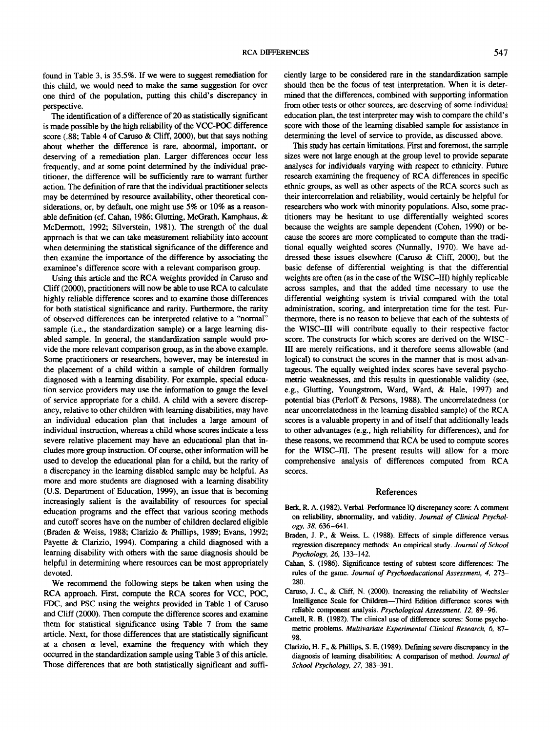found in Table 3, is 35.5%. If we were to suggest remediation for this child, we would need to make the same suggestion for over one third of the population, putting this child's discrepancy in perspective.

The identification of a difference of 20 as statistically significant is made possible by the high reliability of the VCC-POC difference score (.88; Table 4 of Caruso & Cliff, 2000), but that says nothing about whether the difference is rare, abnormal, important, or deserving of a remediation plan. Larger differences occur less frequently, and at some point determined by the individual practitioner, the difference will be sufficiently rare to warrant further action. The definition of rare that the individual practitioner selects may be determined by resource availability, other theoretical considerations, or, by default, one might use 5% or 10% as a reasonable definition (cf. Cahan, 1986; Glutting, McGrath, Kamphaus, & McDermott, 1992; Silverstein, 1981). The strength of the dual approach is that we can take measurement reliability into account when determining the statistical significance of the difference and then examine the importance of the difference by associating the examinee's difference score with a relevant comparison group.

Using this article and the RCA weights provided in Caruso and Cliff (2000), practitioners will now be able to use RCA to calculate highly reliable difference scores and to examine those differences for both statistical significance and rarity. Furthermore, the rarity of observed differences can be interpreted relative to a "normal" sample (i.e., the standardization sample) or a large learning disabled sample. In general, the standardization sample would provide the more relevant comparison group, as in the above example. Some practitioners or researchers, however, may be interested in the placement of a child within a sample of children formally diagnosed with a learning disability. For example, special education service providers may use the information to gauge the level of service appropriate for a child. A child with a severe discrepancy, relative to other children with learning disabilities, may have an individual education plan that includes a large amount of individual instruction, whereas a child whose scores indicate a less severe relative placement may have an educational plan that includes more group instruction. Of course, other information will be used to develop the educational plan for a child, but the rarity of a discrepancy in the learning disabled sample may be helpful. As more and more students are diagnosed with a learning disability (U.S. Department of Education, 1999), an issue that is becoming increasingly salient is the availability of resources for special education programs and the effect that various scoring methods and cutoff scores have on the number of children declared eligible (Braden & Weiss, 1988; Clarizio & Phillips, 1989; Evans, 1992; Payette & Clarizio, 1994). Comparing a child diagnosed with a learning disability with others with the same diagnosis should be helpful in determining where resources can be most appropriately devoted.

We recommend the following steps be taken when using the RCA approach. First, compute the RCA scores for VCC, POC, FDC, and PSC using the weights provided in Table 1 of Caruso and Cliff (2000). Then compute the difference scores and examine them for statistical significance using Table 7 from the same article. Next, for those differences that are statistically significant at a chosen  $\alpha$  level, examine the frequency with which they occurred in the standardization sample using Table 3 of this article. Those differences that are both statistically significant and sufficiently large to be considered rare in the standardization sample should then be the focus of test interpretation. When it is determined that the differences, combined with supporting information from other tests or other sources, are deserving of some individual education plan, the test interpreter may wish to compare the child's score with those of the learning disabled sample for assistance in determining the level of service to provide, as discussed above.

This study has certain limitations. First and foremost, the sample sizes were not large enough at the group level to provide separate analyses for individuals varying with respect to ethnicity. Future research examining the frequency of RCA differences in specific ethnic groups, as well as other aspects of the RCA scores such as their intercorrelation and reliability, would certainly be helpful for researchers who work with minority populations. Also, some practitioners may be hesitant to use differentially weighted scores because the weights are sample dependent (Cohen, 1990) or because the scores are more complicated to compute than the traditional equally weighted scores (Nunnally, 1970). We have addressed these issues elsewhere (Caruso & Cliff, 2000), but the basic defense of differential weighting is that the differential weights are often (as in the case of the WISC-III) highly replicable across samples, and that the added time necessary to use the differential weighting system is trivial compared with the total administration, scoring, and interpretation time for the test. Furthermore, there is no reason to believe that each of the subtests of the WISC-III will contribute equally to their respective factor score. The constructs for which scores are derived on the WISC-III are merely reifications, and it therefore seems allowable (and logical) to construct the scores in the manner that is most advantageous. The equally weighted index scores have several psychometric weaknesses, and this results in questionable validity (see, e.g., Glutting, Youngstrom, Ward, Ward, & Hale, 1997) and potential bias (Perloff & Persons, 1988). The uncorrelatedness (or near uncorrelatedness in the learning disabled sample) of the RCA scores is a valuable property in and of itself that additionally leads to other advantages (e.g., high reliability for differences), and for these reasons, we recommend that RCA be used to compute scores for the WISC-III. The present results will allow for a more comprehensive analysis of differences computed from RCA scores.

#### References

- Berk, R. A. (1982). Verbal-Performance IQ discrepancy score: A comment on reliability, abnormality, and validity. *Journal of Clinical Psychology, 38,* 636-641.
- Braden, J. P., & Weiss, L. (1988). Effects of simple difference versus regression discrepancy methods: An empirical study. *Journal of School Psychology, 26,* 133-142.
- Cahan, S. (1986). Significance testing of subtest score differences: The rules of the game. *Journal of Psychoeducational Assessment, 4,* 273- 280.
- Caruso, J. C., & Cliff, N. (2000). Increasing the reliability of Wechsler Intelligence Scale for Children—Third Edition difference scores with reliable component analysis. *Psychological Assessment, 12,* 89-96.
- Cattell, R. B. (1982). The clinical use of difference scores: Some psychometric problems. *Multivariate Experimental Clinical Research, 6,* 87- 98.
- Clarizio, H. F., & Phillips, S. E. (1989). Defining severe discrepancy in the diagnosis of learning disabilities: A comparison of method. *Journal of School Psychology, 27,* 383-391.